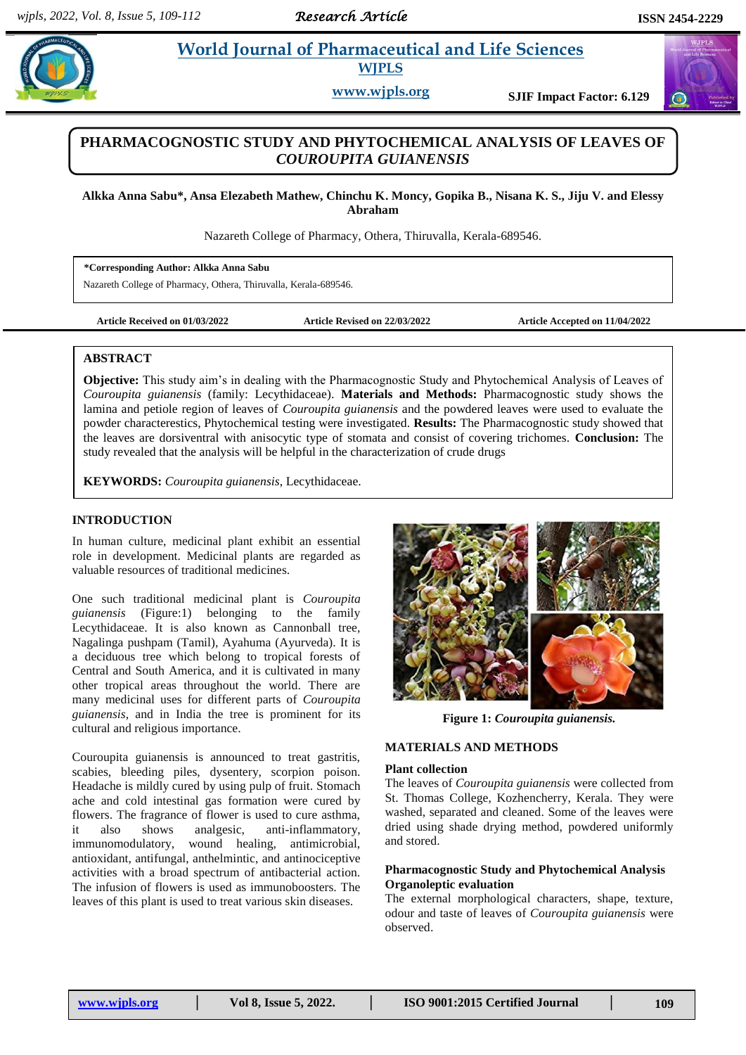# **Para** *et al. 2013**et al. <b>Pharmaceutical and Life Sciences Pharmaceutical and Life Sciences* **WJPLS**

**www.wjpls.org SJIF Impact Factor: 6.129**

# **PHARMACOGNOSTIC STUDY AND PHYTOCHEMICAL ANALYSIS OF LEAVES OF**  *COUROUPITA GUIANENSIS*

**Alkka Anna Sabu\*, Ansa Elezabeth Mathew, Chinchu K. Moncy, Gopika B., Nisana K. S., Jiju V. and Elessy Abraham**

Nazareth College of Pharmacy, Othera, Thiruvalla, Kerala-689546.

**\*Corresponding Author: Alkka Anna Sabu**

Nazareth College of Pharmacy, Othera, Thiruvalla, Kerala-689546.

**Article Received on 01/03/2022 Article Revised on 22/03/2022 Article Accepted on 11/04/2022**

#### **ABSTRACT**

**Objective:** This study aim's in dealing with the Pharmacognostic Study and Phytochemical Analysis of Leaves of *Couroupita guianensis* (family: Lecythidaceae). **Materials and Methods:** Pharmacognostic study shows the lamina and petiole region of leaves of *Couroupita guianensis* and the powdered leaves were used to evaluate the powder characterestics, Phytochemical testing were investigated. **Results:** The Pharmacognostic study showed that the leaves are dorsiventral with anisocytic type of stomata and consist of covering trichomes. **Conclusion:** The study revealed that the analysis will be helpful in the characterization of crude drugs

**KEYWORDS:** *Couroupita guianensis*, Lecythidaceae.

# **INTRODUCTION**

In human culture, medicinal plant exhibit an essential role in development. Medicinal plants are regarded as valuable resources of traditional medicines.

One such traditional medicinal plant is *Couroupita guianensis* (Figure:1) belonging to the family Lecythidaceae. It is also known as Cannonball tree, Nagalinga pushpam (Tamil), Ayahuma (Ayurveda). It is a deciduous tree which belong to tropical forests of Central and South America, and it is cultivated in many other tropical areas throughout the world. There are many medicinal uses for different parts of *Couroupita guianensis*, and in India the tree is prominent for its cultural and religious importance.

Couroupita guianensis is announced to treat gastritis, scabies, bleeding piles, dysentery, scorpion poison. Headache is mildly cured by using pulp of fruit. Stomach ache and cold intestinal gas formation were cured by flowers. The fragrance of flower is used to cure asthma, it also shows analgesic, anti-inflammatory, immunomodulatory, wound healing, antimicrobial, antioxidant, antifungal, anthelmintic, and antinociceptive activities with a broad spectrum of antibacterial action. The infusion of flowers is used as immunoboosters. The leaves of this plant is used to treat various skin diseases.



**Figure 1:** *Couroupita guianensis.*

# **MATERIALS AND METHODS**

#### **Plant collection**

The leaves of *Couroupita guianensis* were collected from St. Thomas College, Kozhencherry, Kerala. They were washed, separated and cleaned. Some of the leaves were dried using shade drying method, powdered uniformly and stored.

## **Pharmacognostic Study and Phytochemical Analysis Organoleptic evaluation**

The external morphological characters, shape, texture, odour and taste of leaves of *Couroupita guianensis* were observed.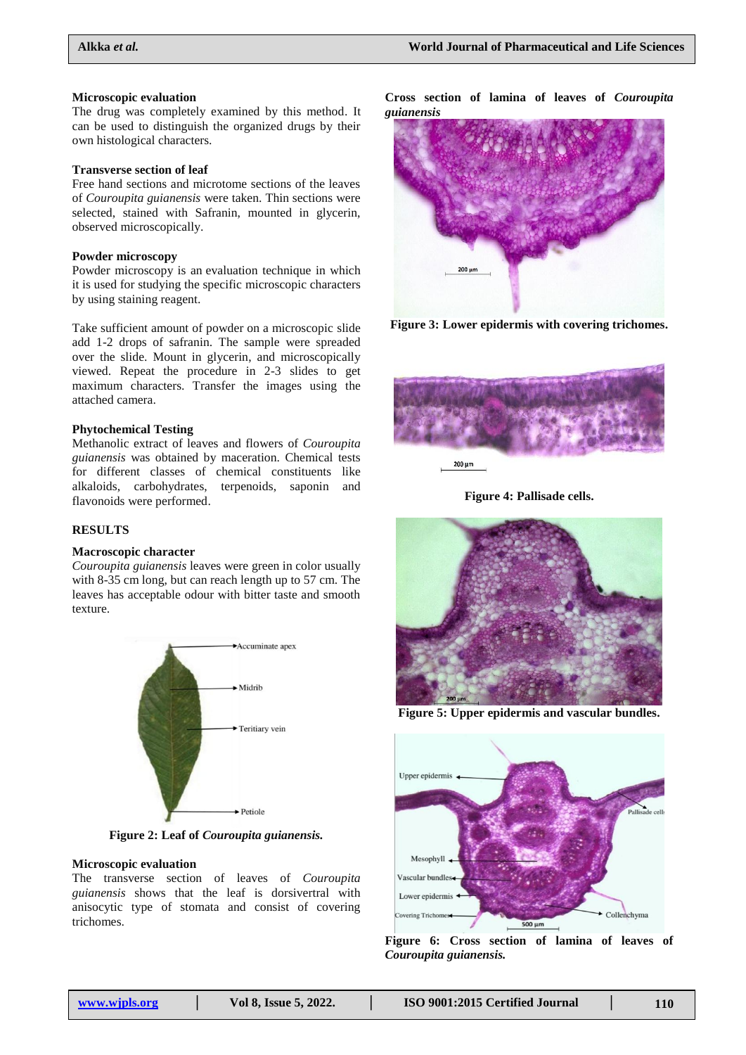#### **Microscopic evaluation**

The drug was completely examined by this method. It can be used to distinguish the organized drugs by their own histological characters.

#### **Transverse section of leaf**

Free hand sections and microtome sections of the leaves of *Couroupita guianensis* were taken. Thin sections were selected, stained with Safranin, mounted in glycerin, observed microscopically.

#### **Powder microscopy**

Powder microscopy is an evaluation technique in which it is used for studying the specific microscopic characters by using staining reagent.

Take sufficient amount of powder on a microscopic slide add 1-2 drops of safranin. The sample were spreaded over the slide. Mount in glycerin, and microscopically viewed. Repeat the procedure in 2-3 slides to get maximum characters. Transfer the images using the attached camera.

#### **Phytochemical Testing**

Methanolic extract of leaves and flowers of *Couroupita guianensis* was obtained by maceration. Chemical tests for different classes of chemical constituents like alkaloids, carbohydrates, terpenoids, saponin and flavonoids were performed.

## **RESULTS**

#### **Macroscopic character**

*Couroupita guianensis* leaves were green in color usually with 8-35 cm long, but can reach length up to 57 cm. The leaves has acceptable odour with bitter taste and smooth texture.



**Figure 2: Leaf of** *Couroupita guianensis.*

#### **Microscopic evaluation**

The transverse section of leaves of *Couroupita guianensis* shows that the leaf is dorsivertral with anisocytic type of stomata and consist of covering trichomes.

**Cross section of lamina of leaves of** *Couroupita guianensis*



**Figure 3: Lower epidermis with covering trichomes.**



**Figure 4: Pallisade cells.**



**Figure 5: Upper epidermis and vascular bundles.**



**Figure 6: Cross section of lamina of leaves of**  *Couroupita guianensis.*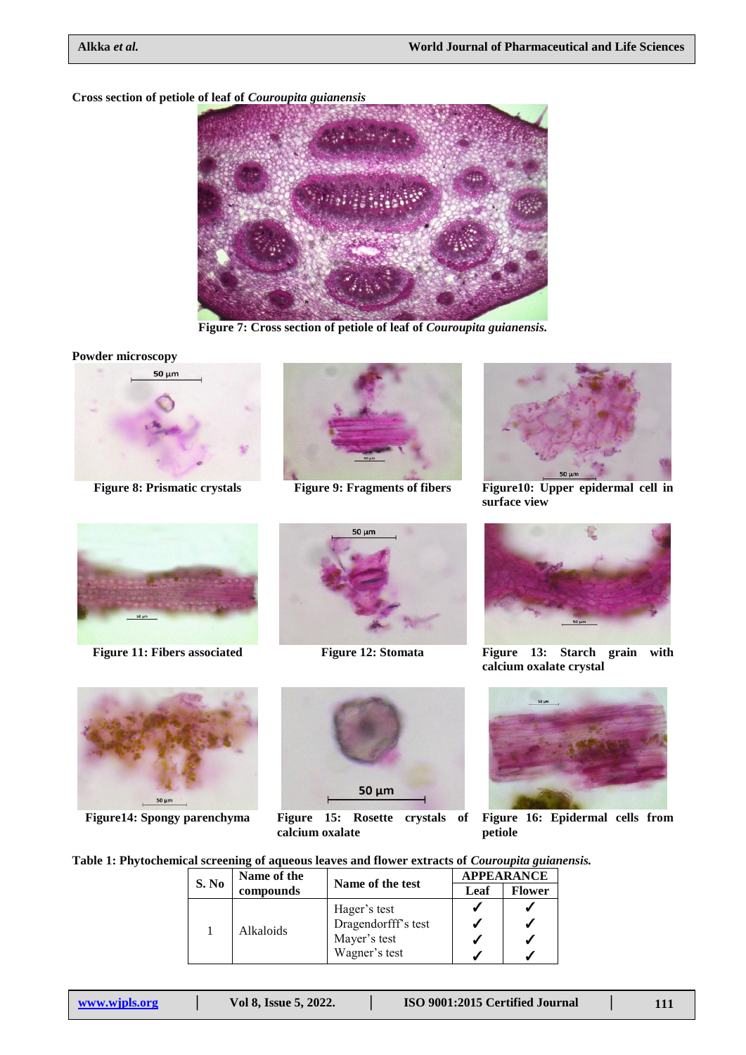# **Cross section of petiole of leaf of** *Couroupita guianensis*



**Figure 7: Cross section of petiole of leaf of** *Couroupita guianensis.*

**Powder microscopy**







**Figure 8: Prismatic crystals Figure 9: Fragments of fibers Figure10: Upper epidermal cell in surface view**





**Figure14: Spongy parenchyma Figure 15: Rosette crystals of** 





**Figure 11: Fibers associated Figure 12: Stomata Figure 13: Starch grain with calcium oxalate crystal**



**Figure 16: Epidermal cells from petiole**

**Table 1: Phytochemical screening of aqueous leaves and flower extracts of** *Couroupita guianensis.*

**calcium oxalate**

| S. No | Name of the<br>compounds | Name of the test    | <b>APPEARANCE</b> |               |
|-------|--------------------------|---------------------|-------------------|---------------|
|       |                          |                     | Leaf              | <b>Flower</b> |
|       | Alkaloids                | Hager's test        |                   |               |
|       |                          | Dragendorfff's test |                   |               |
|       |                          | Mayer's test        |                   |               |
|       |                          | Wagner's test       |                   |               |

50 µm